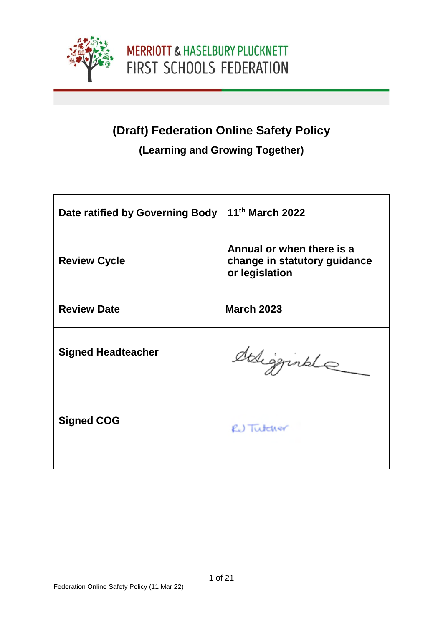

### **(Draft) Federation Online Safety Policy**

### **(Learning and Growing Together)**

| Date ratified by Governing Body | 11 <sup>th</sup> March 2022                                                 |
|---------------------------------|-----------------------------------------------------------------------------|
| <b>Review Cycle</b>             | Annual or when there is a<br>change in statutory guidance<br>or legislation |
| <b>Review Date</b>              | <b>March 2023</b>                                                           |
| <b>Signed Headteacher</b>       | deligginale                                                                 |
| <b>Signed COG</b>               | RU Tutcher                                                                  |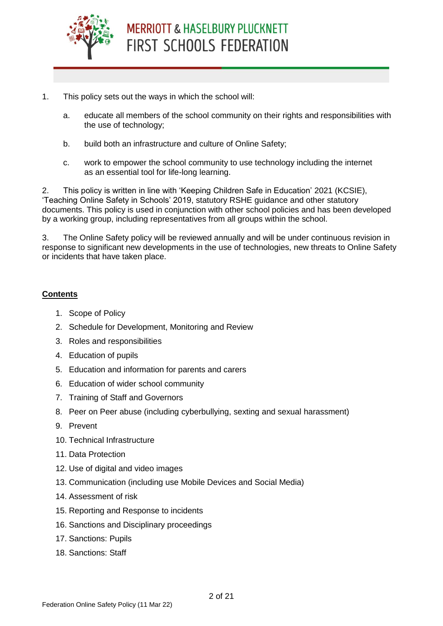

- 1. This policy sets out the ways in which the school will:
	- a. educate all members of the school community on their rights and responsibilities with the use of technology;
	- b. build both an infrastructure and culture of Online Safety;
	- c. work to empower the school community to use technology including the internet as an essential tool for life-long learning.

2. This policy is written in line with 'Keeping Children Safe in Education' 2021 (KCSIE), 'Teaching Online Safety in Schools' 2019, statutory RSHE guidance and other statutory documents. This policy is used in conjunction with other school policies and has been developed by a working group, including representatives from all groups within the school.

3. The Online Safety policy will be reviewed annually and will be under continuous revision in response to significant new developments in the use of technologies, new threats to Online Safety or incidents that have taken place.

#### **Contents**

- 1. Scope of Policy
- 2. Schedule for Development, Monitoring and Review
- 3. Roles and responsibilities
- 4. Education of pupils
- 5. Education and information for parents and carers
- 6. Education of wider school community
- 7. Training of Staff and Governors
- 8. Peer on Peer abuse (including cyberbullying, sexting and sexual harassment)
- 9. Prevent
- 10. Technical Infrastructure
- 11. Data Protection
- 12. Use of digital and video images
- 13. Communication (including use Mobile Devices and Social Media)
- 14. Assessment of risk
- 15. Reporting and Response to incidents
- 16. Sanctions and Disciplinary proceedings
- 17. Sanctions: Pupils
- 18. Sanctions: Staff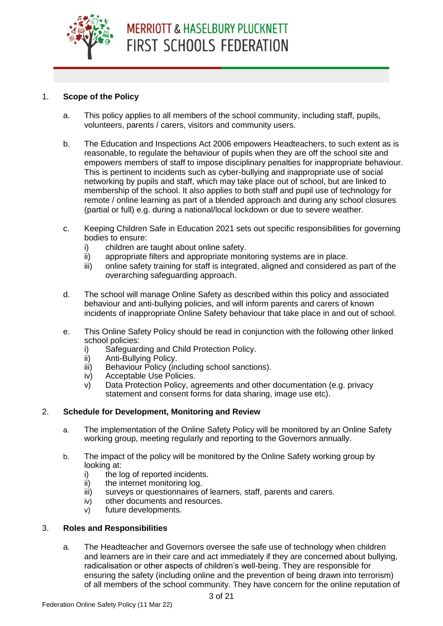

#### 1. **Scope of the Policy**

- a. This policy applies to all members of the school community, including staff, pupils, volunteers, parents / carers, visitors and community users.
- b. The Education and Inspections Act 2006 empowers Headteachers, to such extent as is reasonable, to regulate the behaviour of pupils when they are off the school site and empowers members of staff to impose disciplinary penalties for inappropriate behaviour. This is pertinent to incidents such as cyber-bullying and inappropriate use of social networking by pupils and staff, which may take place out of school, but are linked to membership of the school. It also applies to both staff and pupil use of technology for remote / online learning as part of a blended approach and during any school closures (partial or full) e.g. during a national/local lockdown or due to severe weather.
- c. Keeping Children Safe in Education 2021 sets out specific responsibilities for governing bodies to ensure:
	- i) children are taught about online safety.
	- ii) appropriate filters and appropriate monitoring systems are in place.
	- iii) online safety training for staff is integrated, aligned and considered as part of the overarching safeguarding approach.
- d. The school will manage Online Safety as described within this policy and associated behaviour and anti-bullying policies, and will inform parents and carers of known incidents of inappropriate Online Safety behaviour that take place in and out of school.
- e. This Online Safety Policy should be read in conjunction with the following other linked school policies:
	- i) Safeguarding and Child Protection Policy.
	- ii) Anti-Bullying Policy.
	- iii) Behaviour Policy (including school sanctions).
	- iv) Acceptable Use Policies.
	- v) Data Protection Policy, agreements and other documentation (e.g. privacy statement and consent forms for data sharing, image use etc).

#### 2. **Schedule for Development, Monitoring and Review**

- a. The implementation of the Online Safety Policy will be monitored by an Online Safety working group, meeting regularly and reporting to the Governors annually.
- b. The impact of the policy will be monitored by the Online Safety working group by looking at:
	- i) the log of reported incidents.
	- ii) the internet monitoring log.
	- iii) surveys or questionnaires of learners, staff, parents and carers.
	- iv) other documents and resources.
	- v) future developments.

#### 3. **Roles and Responsibilities**

a. The Headteacher and Governors oversee the safe use of technology when children and learners are in their care and act immediately if they are concerned about bullying, radicalisation or other aspects of children's well-being. They are responsible for ensuring the safety (including online and the prevention of being drawn into terrorism) of all members of the school community. They have concern for the online reputation of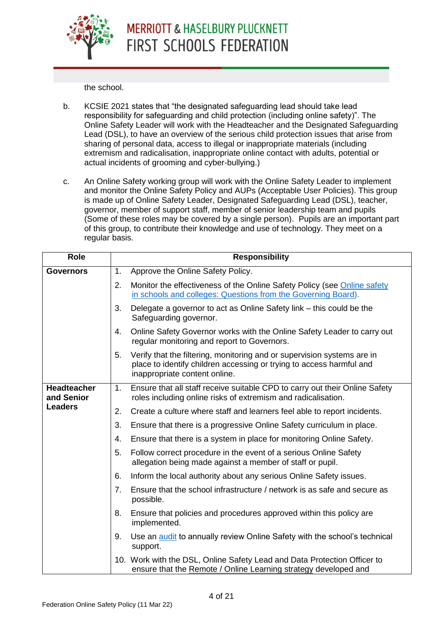

the school.

- b. KCSIE 2021 states that "the designated safeguarding lead should take lead responsibility for safeguarding and child protection (including online safety)". The Online Safety Leader will work with the Headteacher and the Designated Safeguarding Lead (DSL), to have an overview of the serious child protection issues that arise from sharing of personal data, access to illegal or inappropriate materials (including extremism and radicalisation, inappropriate online contact with adults, potential or actual incidents of grooming and cyber-bullying.)
- c. An Online Safety working group will work with the Online Safety Leader to implement and monitor the Online Safety Policy and AUPs (Acceptable User Policies). This group is made up of Online Safety Leader, Designated Safeguarding Lead (DSL), teacher, governor, member of support staff, member of senior leadership team and pupils (Some of these roles may be covered by a single person). Pupils are an important part of this group, to contribute their knowledge and use of technology. They meet on a regular basis.

| <b>Role</b>                      |    | <b>Responsibility</b>                                                                                                                                                            |  |  |  |  |  |  |
|----------------------------------|----|----------------------------------------------------------------------------------------------------------------------------------------------------------------------------------|--|--|--|--|--|--|
| <b>Governors</b>                 | 1. | Approve the Online Safety Policy.                                                                                                                                                |  |  |  |  |  |  |
|                                  | 2. | Monitor the effectiveness of the Online Safety Policy (see Online safety<br>in schools and colleges: Questions from the Governing Board).                                        |  |  |  |  |  |  |
|                                  | 3. | Delegate a governor to act as Online Safety link - this could be the<br>Safeguarding governor.                                                                                   |  |  |  |  |  |  |
|                                  | 4. | Online Safety Governor works with the Online Safety Leader to carry out<br>regular monitoring and report to Governors.                                                           |  |  |  |  |  |  |
|                                  | 5. | Verify that the filtering, monitoring and or supervision systems are in<br>place to identify children accessing or trying to access harmful and<br>inappropriate content online. |  |  |  |  |  |  |
| <b>Headteacher</b><br>and Senior | 1. | Ensure that all staff receive suitable CPD to carry out their Online Safety<br>roles including online risks of extremism and radicalisation.                                     |  |  |  |  |  |  |
| <b>Leaders</b>                   | 2. | Create a culture where staff and learners feel able to report incidents.                                                                                                         |  |  |  |  |  |  |
|                                  | 3. | Ensure that there is a progressive Online Safety curriculum in place.                                                                                                            |  |  |  |  |  |  |
|                                  | 4. | Ensure that there is a system in place for monitoring Online Safety.                                                                                                             |  |  |  |  |  |  |
|                                  | 5. | Follow correct procedure in the event of a serious Online Safety<br>allegation being made against a member of staff or pupil.                                                    |  |  |  |  |  |  |
|                                  | 6. | Inform the local authority about any serious Online Safety issues.                                                                                                               |  |  |  |  |  |  |
|                                  | 7. | Ensure that the school infrastructure / network is as safe and secure as<br>possible.                                                                                            |  |  |  |  |  |  |
|                                  | 8. | Ensure that policies and procedures approved within this policy are<br>implemented.                                                                                              |  |  |  |  |  |  |
|                                  | 9. | Use an audit to annually review Online Safety with the school's technical<br>support.                                                                                            |  |  |  |  |  |  |
|                                  |    | 10. Work with the DSL, Online Safety Lead and Data Protection Officer to<br>ensure that the Remote / Online Learning strategy developed and                                      |  |  |  |  |  |  |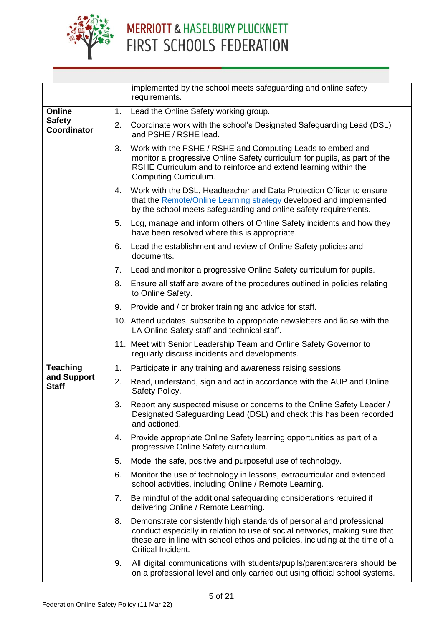

|                              |    | implemented by the school meets safeguarding and online safety<br>requirements.                                                                                                                                                                          |
|------------------------------|----|----------------------------------------------------------------------------------------------------------------------------------------------------------------------------------------------------------------------------------------------------------|
| <b>Online</b>                | 1. | Lead the Online Safety working group.                                                                                                                                                                                                                    |
| <b>Safety</b><br>Coordinator | 2. | Coordinate work with the school's Designated Safeguarding Lead (DSL)<br>and PSHE / RSHE lead.                                                                                                                                                            |
|                              | 3. | Work with the PSHE / RSHE and Computing Leads to embed and<br>monitor a progressive Online Safety curriculum for pupils, as part of the<br>RSHE Curriculum and to reinforce and extend learning within the<br><b>Computing Curriculum.</b>               |
|                              | 4. | Work with the DSL, Headteacher and Data Protection Officer to ensure<br>that the Remote/Online Learning strategy developed and implemented<br>by the school meets safeguarding and online safety requirements.                                           |
|                              | 5. | Log, manage and inform others of Online Safety incidents and how they<br>have been resolved where this is appropriate.                                                                                                                                   |
|                              | 6. | Lead the establishment and review of Online Safety policies and<br>documents.                                                                                                                                                                            |
|                              | 7. | Lead and monitor a progressive Online Safety curriculum for pupils.                                                                                                                                                                                      |
|                              | 8. | Ensure all staff are aware of the procedures outlined in policies relating<br>to Online Safety.                                                                                                                                                          |
|                              | 9. | Provide and / or broker training and advice for staff.                                                                                                                                                                                                   |
|                              |    | 10. Attend updates, subscribe to appropriate newsletters and liaise with the<br>LA Online Safety staff and technical staff.                                                                                                                              |
|                              |    | 11. Meet with Senior Leadership Team and Online Safety Governor to<br>regularly discuss incidents and developments.                                                                                                                                      |
| <b>Teaching</b>              | 1. | Participate in any training and awareness raising sessions.                                                                                                                                                                                              |
| and Support<br><b>Staff</b>  | 2. | Read, understand, sign and act in accordance with the AUP and Online<br>Safety Policy.                                                                                                                                                                   |
|                              | 3. | Report any suspected misuse or concerns to the Online Safety Leader /<br>Designated Safeguarding Lead (DSL) and check this has been recorded<br>and actioned.                                                                                            |
|                              | 4. | Provide appropriate Online Safety learning opportunities as part of a<br>progressive Online Safety curriculum.                                                                                                                                           |
|                              | 5. | Model the safe, positive and purposeful use of technology.                                                                                                                                                                                               |
|                              | 6. | Monitor the use of technology in lessons, extracurricular and extended<br>school activities, including Online / Remote Learning.                                                                                                                         |
|                              | 7. | Be mindful of the additional safeguarding considerations required if<br>delivering Online / Remote Learning.                                                                                                                                             |
|                              | 8. | Demonstrate consistently high standards of personal and professional<br>conduct especially in relation to use of social networks, making sure that<br>these are in line with school ethos and policies, including at the time of a<br>Critical Incident. |
|                              | 9. | All digital communications with students/pupils/parents/carers should be<br>on a professional level and only carried out using official school systems.                                                                                                  |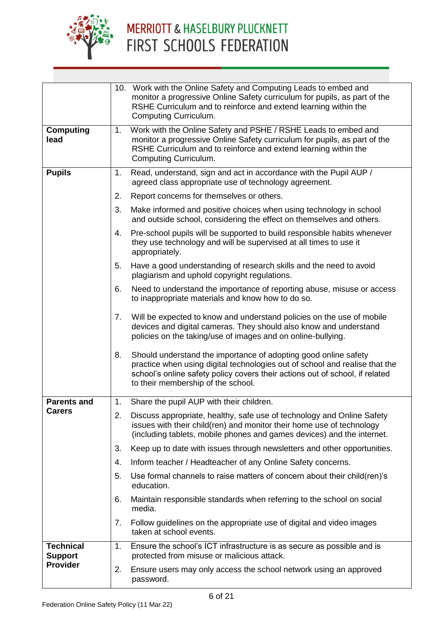

|                                    |             | 10. Work with the Online Safety and Computing Leads to embed and<br>monitor a progressive Online Safety curriculum for pupils, as part of the<br>RSHE Curriculum and to reinforce and extend learning within the<br>Computing Curriculum.                            |
|------------------------------------|-------------|----------------------------------------------------------------------------------------------------------------------------------------------------------------------------------------------------------------------------------------------------------------------|
| <b>Computing</b><br>lead           | 1.          | Work with the Online Safety and PSHE / RSHE Leads to embed and<br>monitor a progressive Online Safety curriculum for pupils, as part of the<br>RSHE Curriculum and to reinforce and extend learning within the<br>Computing Curriculum.                              |
| <b>Pupils</b>                      | 1.          | Read, understand, sign and act in accordance with the Pupil AUP /<br>agreed class appropriate use of technology agreement.                                                                                                                                           |
|                                    | 2.          | Report concerns for themselves or others.                                                                                                                                                                                                                            |
|                                    | 3.          | Make informed and positive choices when using technology in school<br>and outside school, considering the effect on themselves and others.                                                                                                                           |
|                                    | 4.          | Pre-school pupils will be supported to build responsible habits whenever<br>they use technology and will be supervised at all times to use it<br>appropriately.                                                                                                      |
|                                    | 5.          | Have a good understanding of research skills and the need to avoid<br>plagiarism and uphold copyright regulations.                                                                                                                                                   |
|                                    | 6.          | Need to understand the importance of reporting abuse, misuse or access<br>to inappropriate materials and know how to do so.                                                                                                                                          |
|                                    | 7.          | Will be expected to know and understand policies on the use of mobile<br>devices and digital cameras. They should also know and understand<br>policies on the taking/use of images and on online-bullying.                                                           |
|                                    | 8.          | Should understand the importance of adopting good online safety<br>practice when using digital technologies out of school and realise that the<br>school's online safety policy covers their actions out of school, if related<br>to their membership of the school. |
| <b>Parents and</b>                 |             | 1. Share the pupil AUP with their children.                                                                                                                                                                                                                          |
| <b>Carers</b>                      | 2.          | Discuss appropriate, healthy, safe use of technology and Online Safety<br>issues with their child(ren) and monitor their home use of technology<br>(including tablets, mobile phones and games devices) and the internet.                                            |
|                                    | 3.          | Keep up to date with issues through newsletters and other opportunities.                                                                                                                                                                                             |
|                                    | 4.          | Inform teacher / Headteacher of any Online Safety concerns.                                                                                                                                                                                                          |
|                                    | 5.          | Use formal channels to raise matters of concern about their child (ren)'s<br>education.                                                                                                                                                                              |
|                                    | 6.          | Maintain responsible standards when referring to the school on social<br>media.                                                                                                                                                                                      |
|                                    | $7_{\cdot}$ | Follow guidelines on the appropriate use of digital and video images<br>taken at school events.                                                                                                                                                                      |
| <b>Technical</b><br><b>Support</b> | 1.          | Ensure the school's ICT infrastructure is as secure as possible and is<br>protected from misuse or malicious attack.                                                                                                                                                 |
| <b>Provider</b>                    | 2.          | Ensure users may only access the school network using an approved<br>password.                                                                                                                                                                                       |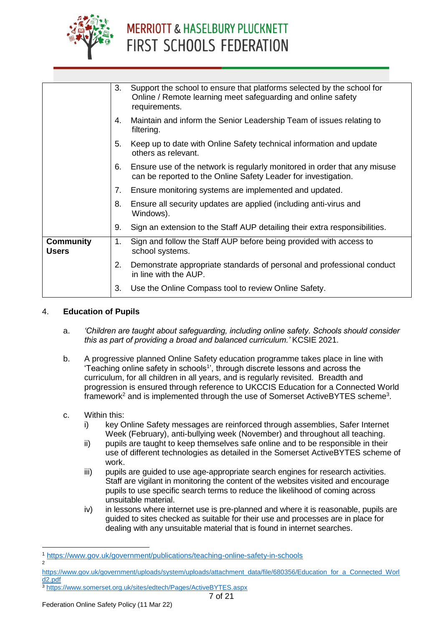

|                                  | 3.             | Support the school to ensure that platforms selected by the school for<br>Online / Remote learning meet safeguarding and online safety<br>requirements. |
|----------------------------------|----------------|---------------------------------------------------------------------------------------------------------------------------------------------------------|
|                                  | 4.             | Maintain and inform the Senior Leadership Team of issues relating to<br>filtering.                                                                      |
|                                  | 5.             | Keep up to date with Online Safety technical information and update<br>others as relevant.                                                              |
|                                  | 6.             | Ensure use of the network is regularly monitored in order that any misuse<br>can be reported to the Online Safety Leader for investigation.             |
|                                  | 7.             | Ensure monitoring systems are implemented and updated.                                                                                                  |
|                                  | 8.             | Ensure all security updates are applied (including anti-virus and<br>Windows).                                                                          |
|                                  | 9.             | Sign an extension to the Staff AUP detailing their extra responsibilities.                                                                              |
| <b>Community</b><br><b>Users</b> | 1 <sub>1</sub> | Sign and follow the Staff AUP before being provided with access to<br>school systems.                                                                   |
|                                  | 2.             | Demonstrate appropriate standards of personal and professional conduct<br>in line with the AUP.                                                         |
|                                  | 3.             | Use the Online Compass tool to review Online Safety.                                                                                                    |
|                                  |                |                                                                                                                                                         |

#### 4. **Education of Pupils**

- a. *'Children are taught about safeguarding, including online safety. Schools should consider this as part of providing a broad and balanced curriculum.'* KCSIE 2021.
- b. A progressive planned Online Safety education programme takes place in line with 'Teaching online safety in schools<sup>1</sup>', through discrete lessons and across the curriculum, for all children in all years, and is regularly revisited. Breadth and progression is ensured through reference to UKCCIS Education for a Connected World framework<sup>2</sup> and is implemented through the use of Somerset ActiveBYTES scheme<sup>3</sup>.
- c. Within this:
	- i) key Online Safety messages are reinforced through assemblies, Safer Internet Week (February), anti-bullying week (November) and throughout all teaching.
	- ii) pupils are taught to keep themselves safe online and to be responsible in their use of different technologies as detailed in the Somerset ActiveBYTES scheme of work.
	- iii) pupils are guided to use age-appropriate search engines for research activities. Staff are vigilant in monitoring the content of the websites visited and encourage pupils to use specific search terms to reduce the likelihood of coming across unsuitable material.
	- iv) in lessons where internet use is pre-planned and where it is reasonable, pupils are guided to sites checked as suitable for their use and processes are in place for dealing with any unsuitable material that is found in internet searches.

-

<sup>1</sup> <https://www.gov.uk/government/publications/teaching-online-safety-in-schools>  $\overline{2}$ 

[https://www.gov.uk/government/uploads/system/uploads/attachment\\_data/file/680356/Education\\_for\\_a\\_Connected\\_Worl](https://www.gov.uk/government/uploads/system/uploads/attachment_data/file/680356/Education_for_a_Connected_World2.pdf) [d2.pdf](https://www.gov.uk/government/uploads/system/uploads/attachment_data/file/680356/Education_for_a_Connected_World2.pdf)

<sup>3</sup> <https://www.somerset.org.uk/sites/edtech/Pages/ActiveBYTES.aspx>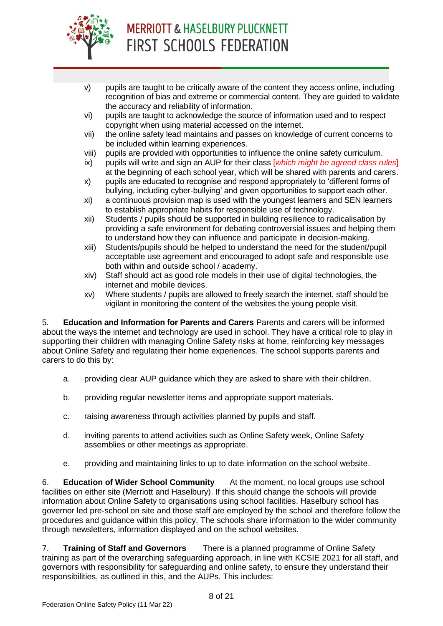

- v) pupils are taught to be critically aware of the content they access online, including recognition of bias and extreme or commercial content. They are guided to validate the accuracy and reliability of information.
- vi) pupils are taught to acknowledge the source of information used and to respect copyright when using material accessed on the internet.
- vii) the online safety lead maintains and passes on knowledge of current concerns to be included within learning experiences.
- viii) pupils are provided with opportunities to influence the online safety curriculum.
- ix) pupils will write and sign an AUP for their class [*which might be agreed class rules*] at the beginning of each school year, which will be shared with parents and carers.
- x) pupils are educated to recognise and respond appropriately to 'different forms of bullying, including cyber-bullying' and given opportunities to support each other.
- xi) a continuous provision map is used with the youngest learners and SEN learners to establish appropriate habits for responsible use of technology.
- xii) Students / pupils should be supported in building resilience to radicalisation by providing a safe environment for debating controversial issues and helping them to understand how they can influence and participate in decision-making.
- xiii) Students/pupils should be helped to understand the need for the student/pupil acceptable use agreement and encouraged to adopt safe and responsible use both within and outside school / academy.
- xiv) Staff should act as good role models in their use of digital technologies, the internet and mobile devices.
- xv) Where students / pupils are allowed to freely search the internet, staff should be vigilant in monitoring the content of the websites the young people visit.

5. **Education and Information for Parents and Carers** Parents and carers will be informed about the ways the internet and technology are used in school. They have a critical role to play in supporting their children with managing Online Safety risks at home, reinforcing key messages about Online Safety and regulating their home experiences. The school supports parents and carers to do this by:

- a. providing clear AUP guidance which they are asked to share with their children.
- b. providing regular newsletter items and appropriate support materials.
- c. raising awareness through activities planned by pupils and staff.
- d. inviting parents to attend activities such as Online Safety week, Online Safety assemblies or other meetings as appropriate.
- e. providing and maintaining links to up to date information on the school website.

6. **Education of Wider School Community** At the moment, no local groups use school facilities on either site (Merriott and Haselbury). If this should change the schools will provide information about Online Safety to organisations using school facilities. Haselbury school has governor led pre-school on site and those staff are employed by the school and therefore follow the procedures and guidance within this policy. The schools share information to the wider community through newsletters, information displayed and on the school websites.

7. **Training of Staff and Governors** There is a planned programme of Online Safety training as part of the overarching safeguarding approach, in line with KCSIE 2021 for all staff, and governors with responsibility for safeguarding and online safety, to ensure they understand their responsibilities, as outlined in this, and the AUPs. This includes: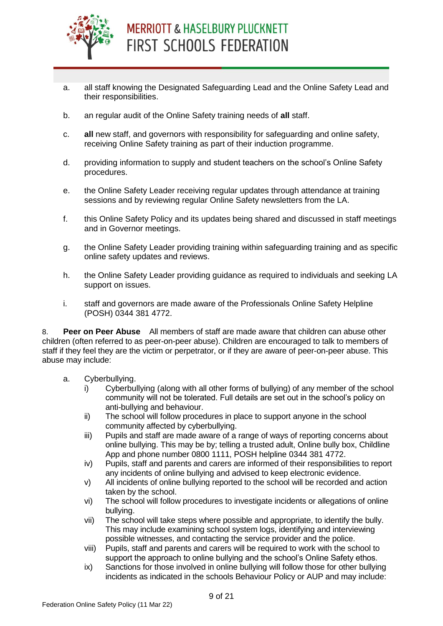

- a. all staff knowing the Designated Safeguarding Lead and the Online Safety Lead and their responsibilities.
- b. an regular audit of the Online Safety training needs of **all** staff.
- c. **all** new staff, and governors with responsibility for safeguarding and online safety, receiving Online Safety training as part of their induction programme.
- d. providing information to supply and student teachers on the school's Online Safety procedures.
- e. the Online Safety Leader receiving regular updates through attendance at training sessions and by reviewing regular Online Safety newsletters from the LA.
- f. this Online Safety Policy and its updates being shared and discussed in staff meetings and in Governor meetings.
- g. the Online Safety Leader providing training within safeguarding training and as specific online safety updates and reviews.
- h. the Online Safety Leader providing guidance as required to individuals and seeking LA support on issues.
- i. staff and governors are made aware of the Professionals Online Safety Helpline (POSH) 0344 381 4772.

8. **Peer on Peer Abuse** All members of staff are made aware that children can abuse other children (often referred to as peer-on-peer abuse). Children are encouraged to talk to members of staff if they feel they are the victim or perpetrator, or if they are aware of peer-on-peer abuse. This abuse may include:

#### a. Cyberbullying.

- i) Cyberbullying (along with all other forms of bullying) of any member of the school community will not be tolerated. Full details are set out in the school's policy on anti-bullying and behaviour.
- ii) The school will follow procedures in place to support anyone in the school community affected by cyberbullying.
- iii) Pupils and staff are made aware of a range of ways of reporting concerns about online bullying. This may be by; telling a trusted adult, Online bully box, Childline App and phone number 0800 1111, POSH helpline 0344 381 4772.
- iv) Pupils, staff and parents and carers are informed of their responsibilities to report any incidents of online bullying and advised to keep electronic evidence.
- v) All incidents of online bullying reported to the school will be recorded and action taken by the school.
- vi) The school will follow procedures to investigate incidents or allegations of online bullying.
- vii) The school will take steps where possible and appropriate, to identify the bully. This may include examining school system logs, identifying and interviewing possible witnesses, and contacting the service provider and the police.
- viii) Pupils, staff and parents and carers will be required to work with the school to support the approach to online bullying and the school's Online Safety ethos.
- ix) Sanctions for those involved in online bullying will follow those for other bullying incidents as indicated in the schools Behaviour Policy or AUP and may include: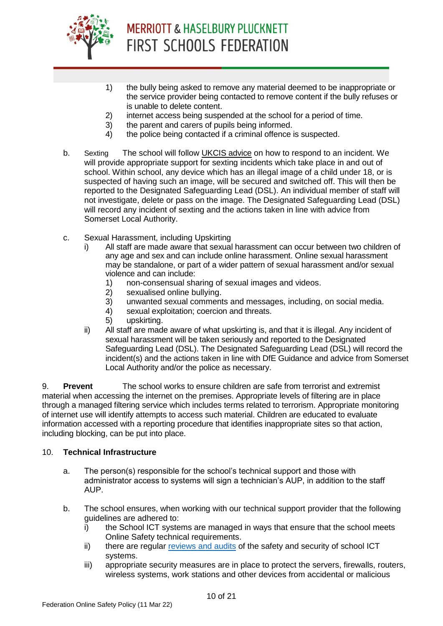

- 1) the bully being asked to remove any material deemed to be inappropriate or the service provider being contacted to remove content if the bully refuses or is unable to delete content.
- 2) internet access being suspended at the school for a period of time.
- 3) the parent and carers of pupils being informed.
- 4) the police being contacted if a criminal offence is suspected.
- b. Sexting The school will follow [UKCIS advice](https://www.gov.uk/government/publications/sexting-in-schools-and-colleges) on how to respond to an incident. We will provide appropriate support for sexting incidents which take place in and out of school. Within school, any device which has an illegal image of a child under 18, or is suspected of having such an image, will be secured and switched off. This will then be reported to the Designated Safeguarding Lead (DSL). An individual member of staff will not investigate, delete or pass on the image. The Designated Safeguarding Lead (DSL) will record any incident of sexting and the actions taken in line with advice from Somerset Local Authority.
- c. Sexual Harassment, including Upskirting
	- All staff are made aware that sexual harassment can occur between two children of any age and sex and can include online harassment. Online sexual harassment may be standalone, or part of a wider pattern of sexual harassment and/or sexual violence and can include:
		- 1) non-consensual sharing of sexual images and videos.
		- 2) sexualised online bullying.
		- 3) unwanted sexual comments and messages, including, on social media.
		- 4) sexual exploitation; coercion and threats.
		- 5) upskirting.
	- ii) All staff are made aware of what upskirting is, and that it is illegal. Any incident of sexual harassment will be taken seriously and reported to the Designated Safeguarding Lead (DSL). The Designated Safeguarding Lead (DSL) will record the incident(s) and the actions taken in line with DfE Guidance and advice from Somerset Local Authority and/or the police as necessary.

9. **Prevent** The school works to ensure children are safe from terrorist and extremist material when accessing the internet on the premises. Appropriate levels of filtering are in place through a managed filtering service which includes terms related to terrorism. Appropriate monitoring of internet use will identify attempts to access such material. Children are educated to evaluate information accessed with a reporting procedure that identifies inappropriate sites so that action, including blocking, can be put into place.

#### 10. **Technical Infrastructure**

- a. The person(s) responsible for the school's technical support and those with administrator access to systems will sign a technician's AUP, in addition to the staff AUP.
- b. The school ensures, when working with our technical support provider that the following guidelines are adhered to:
	- $\ddot{i}$  the School ICT systems are managed in ways that ensure that the school meets Online Safety technical requirements.
	- ii) there are regular [reviews and audits](https://www.somerset.org.uk/sites/edtech/eSafety/Leading/Questions%20for%20Technical%20Support%202018.pdf) of the safety and security of school ICT systems.
	- iii) appropriate security measures are in place to protect the servers, firewalls, routers, wireless systems, work stations and other devices from accidental or malicious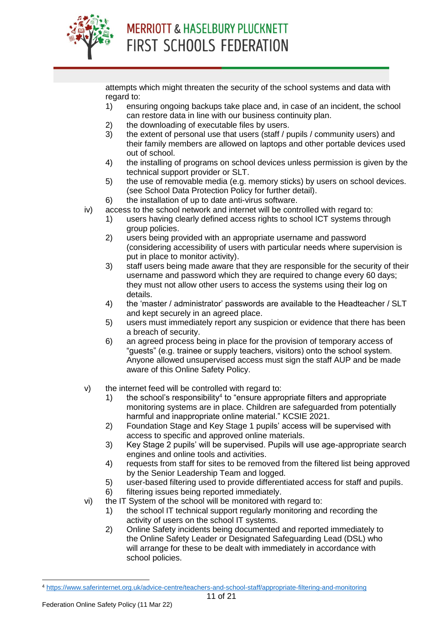

attempts which might threaten the security of the school systems and data with regard to:

- 1) ensuring ongoing backups take place and, in case of an incident, the school can restore data in line with our business continuity plan.
- 2) the downloading of executable files by users.
- 3) the extent of personal use that users (staff / pupils / community users) and their family members are allowed on laptops and other portable devices used out of school.
- 4) the installing of programs on school devices unless permission is given by the technical support provider or SLT.
- 5) the use of removable media (e.g. memory sticks) by users on school devices. (see School Data Protection Policy for further detail).
- 6) the installation of up to date anti-virus software.
- iv) access to the school network and internet will be controlled with regard to:
	- 1) users having clearly defined access rights to school ICT systems through group policies.
	- 2) users being provided with an appropriate username and password (considering accessibility of users with particular needs where supervision is put in place to monitor activity).
	- 3) staff users being made aware that they are responsible for the security of their username and password which they are required to change every 60 days; they must not allow other users to access the systems using their log on details.
	- 4) the 'master / administrator' passwords are available to the Headteacher / SLT and kept securely in an agreed place.
	- 5) users must immediately report any suspicion or evidence that there has been a breach of security.
	- 6) an agreed process being in place for the provision of temporary access of "guests" (e.g. trainee or supply teachers, visitors) onto the school system. Anyone allowed unsupervised access must sign the staff AUP and be made aware of this Online Safety Policy.
- v) the internet feed will be controlled with regard to:
	- 1) the school's responsibility<sup>4</sup> to "ensure appropriate filters and appropriate monitoring systems are in place. Children are safeguarded from potentially harmful and inappropriate online material." KCSIE 2021.
	- 2) Foundation Stage and Key Stage 1 pupils' access will be supervised with access to specific and approved online materials.
	- 3) Key Stage 2 pupils' will be supervised. Pupils will use age-appropriate search engines and online tools and activities.
	- 4) requests from staff for sites to be removed from the filtered list being approved by the Senior Leadership Team and logged.
	- 5) user-based filtering used to provide differentiated access for staff and pupils.
	- 6) filtering issues being reported immediately.
- vi) the IT System of the school will be monitored with regard to:
	- 1) the school IT technical support regularly monitoring and recording the activity of users on the school IT systems.
	- 2) Online Safety incidents being documented and reported immediately to the Online Safety Leader or Designated Safeguarding Lead (DSL) who will arrange for these to be dealt with immediately in accordance with school policies.

<sup>-</sup><sup>4</sup> <https://www.saferinternet.org.uk/advice-centre/teachers-and-school-staff/appropriate-filtering-and-monitoring>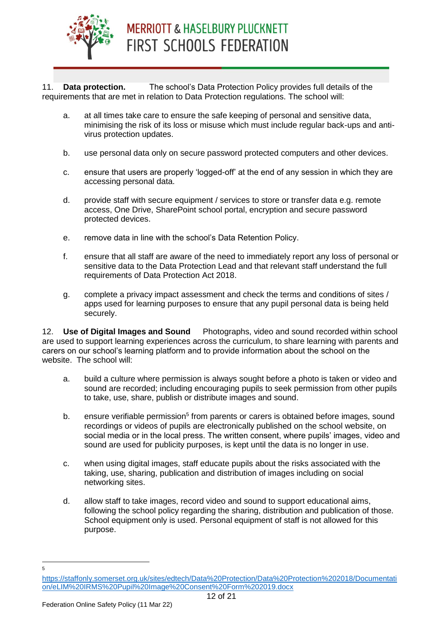

11. **Data protection.** The school's Data Protection Policy provides full details of the requirements that are met in relation to Data Protection regulations. The school will:

- a. at all times take care to ensure the safe keeping of personal and sensitive data, minimising the risk of its loss or misuse which must include regular back-ups and antivirus protection updates.
- b. use personal data only on secure password protected computers and other devices.
- c. ensure that users are properly 'logged-off' at the end of any session in which they are accessing personal data.
- d. provide staff with secure equipment / services to store or transfer data e.g. remote access, One Drive, SharePoint school portal, encryption and secure password protected devices.
- e. remove data in line with the school's Data Retention Policy.
- f. ensure that all staff are aware of the need to immediately report any loss of personal or sensitive data to the Data Protection Lead and that relevant staff understand the full requirements of Data Protection Act 2018.
- g. complete a privacy impact assessment and check the terms and conditions of sites / apps used for learning purposes to ensure that any pupil personal data is being held securely.

12. **Use of Digital Images and Sound** Photographs, video and sound recorded within school are used to support learning experiences across the curriculum, to share learning with parents and carers on our school's learning platform and to provide information about the school on the website. The school will:

- a. build a culture where permission is always sought before a photo is taken or video and sound are recorded; including encouraging pupils to seek permission from other pupils to take, use, share, publish or distribute images and sound.
- b. ensure verifiable permission<sup>5</sup> from parents or carers is obtained before images, sound recordings or videos of pupils are electronically published on the school website, on social media or in the local press. The written consent, where pupils' images, video and sound are used for publicity purposes, is kept until the data is no longer in use.
- c. when using digital images, staff educate pupils about the risks associated with the taking, use, sharing, publication and distribution of images including on social networking sites.
- d. allow staff to take images, record video and sound to support educational aims, following the school policy regarding the sharing, distribution and publication of those. School equipment only is used. Personal equipment of staff is not allowed for this purpose.
- —<br>5

[https://staffonly.somerset.org.uk/sites/edtech/Data%20Protection/Data%20Protection%202018/Documentati](https://staffonly.somerset.org.uk/sites/edtech/Data%20Protection/Data%20Protection%202018/Documentation/eLIM%20IRMS%20Pupil%20Image%20Consent%20Form%202019.docx) [on/eLIM%20IRMS%20Pupil%20Image%20Consent%20Form%202019.docx](https://staffonly.somerset.org.uk/sites/edtech/Data%20Protection/Data%20Protection%202018/Documentation/eLIM%20IRMS%20Pupil%20Image%20Consent%20Form%202019.docx)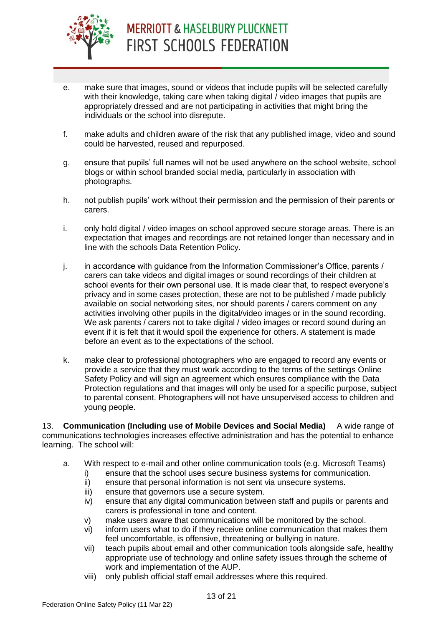

- e. make sure that images, sound or videos that include pupils will be selected carefully with their knowledge, taking care when taking digital / video images that pupils are appropriately dressed and are not participating in activities that might bring the individuals or the school into disrepute.
- f. make adults and children aware of the risk that any published image, video and sound could be harvested, reused and repurposed.
- g. ensure that pupils' full names will not be used anywhere on the school website, school blogs or within school branded social media, particularly in association with photographs.
- h. not publish pupils' work without their permission and the permission of their parents or carers.
- i. only hold digital / video images on school approved secure storage areas. There is an expectation that images and recordings are not retained longer than necessary and in line with the schools Data Retention Policy.
- j. in accordance with guidance from the Information Commissioner's Office, parents / carers can take videos and digital images or sound recordings of their children at school events for their own personal use. It is made clear that, to respect everyone's privacy and in some cases protection, these are not to be published / made publicly available on social networking sites, nor should parents / carers comment on any activities involving other pupils in the digital/video images or in the sound recording. We ask parents / carers not to take digital / video images or record sound during an event if it is felt that it would spoil the experience for others. A statement is made before an event as to the expectations of the school.
- k. make clear to professional photographers who are engaged to record any events or provide a service that they must work according to the terms of the settings Online Safety Policy and will sign an agreement which ensures compliance with the Data Protection regulations and that images will only be used for a specific purpose, subject to parental consent. Photographers will not have unsupervised access to children and young people.

13. **Communication (Including use of Mobile Devices and Social Media)** A wide range of communications technologies increases effective administration and has the potential to enhance learning. The school will:

- a. With respect to e-mail and other online communication tools (e.g. Microsoft Teams)
	- i) ensure that the school uses secure business systems for communication.
	- ii) ensure that personal information is not sent via unsecure systems.
	- iii) ensure that governors use a secure system.
	- iv) ensure that any digital communication between staff and pupils or parents and carers is professional in tone and content.
	- v) make users aware that communications will be monitored by the school.
	- vi) inform users what to do if they receive online communication that makes them feel uncomfortable, is offensive, threatening or bullying in nature.
	- vii) teach pupils about email and other communication tools alongside safe, healthy appropriate use of technology and online safety issues through the scheme of work and implementation of the AUP.
	- viii) only publish official staff email addresses where this required.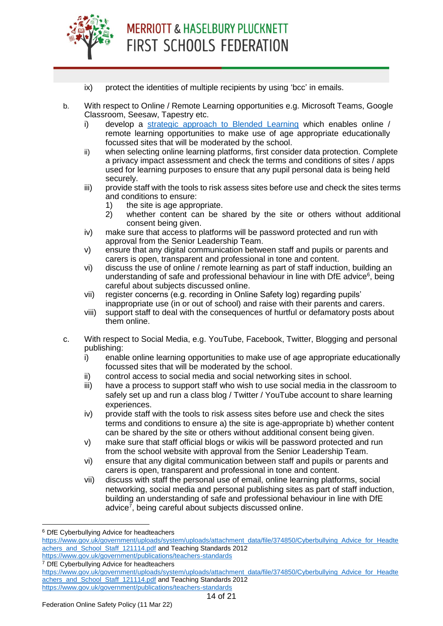

- ix) protect the identities of multiple recipients by using 'bcc' in emails.
- b. With respect to Online / Remote Learning opportunities e.g. Microsoft Teams, Google Classroom, Seesaw, Tapestry etc.
	- i) develop a [strategic approach to Blended Learning](https://www.somerset.org.uk/sites/edtech/SitePages/Home%20Learning.aspx) which enables online / remote learning opportunities to make use of age appropriate educationally focussed sites that will be moderated by the school.
	- ii) when selecting online learning platforms, first consider data protection. Complete a privacy impact assessment and check the terms and conditions of sites / apps used for learning purposes to ensure that any pupil personal data is being held securely.
	- iii) provide staff with the tools to risk assess sites before use and check the sites terms and conditions to ensure:
		- 1) the site is age appropriate.
		- 2) whether content can be shared by the site or others without additional consent being given.
	- iv) make sure that access to platforms will be password protected and run with approval from the Senior Leadership Team.
	- v) ensure that any digital communication between staff and pupils or parents and carers is open, transparent and professional in tone and content.
	- vi) discuss the use of online / remote learning as part of staff induction, building an understanding of safe and professional behaviour in line with DfE advice $6$ , being careful about subjects discussed online.
	- vii) register concerns (e.g. recording in Online Safety log) regarding pupils' inappropriate use (in or out of school) and raise with their parents and carers.
	- viii) support staff to deal with the consequences of hurtful or defamatory posts about them online.
- c. With respect to Social Media, e.g. YouTube, Facebook, Twitter, Blogging and personal publishing:
	- i) enable online learning opportunities to make use of age appropriate educationally focussed sites that will be moderated by the school.
	- ii) control access to social media and social networking sites in school.
	- iii) have a process to support staff who wish to use social media in the classroom to safely set up and run a class blog / Twitter / YouTube account to share learning experiences.
	- iv) provide staff with the tools to risk assess sites before use and check the sites terms and conditions to ensure a) the site is age-appropriate b) whether content can be shared by the site or others without additional consent being given.
	- v) make sure that staff official blogs or wikis will be password protected and run from the school website with approval from the Senior Leadership Team.
	- vi) ensure that any digital communication between staff and pupils or parents and carers is open, transparent and professional in tone and content.
	- vii) discuss with staff the personal use of email, online learning platforms, social networking, social media and personal publishing sites as part of staff induction, building an understanding of safe and professional behaviour in line with DfE advice<sup>7</sup>, being careful about subjects discussed online.

-

<sup>7</sup> DfE Cyberbullying Advice for headteachers

<sup>6</sup> DfE Cyberbullying Advice for headteachers

[https://www.gov.uk/government/uploads/system/uploads/attachment\\_data/file/374850/Cyberbullying\\_Advice\\_for\\_Headte](https://www.gov.uk/government/uploads/system/uploads/attachment_data/file/374850/Cyberbullying_Advice_for_Headteachers_and_School_Staff_121114.pdf) [achers\\_and\\_School\\_Staff\\_121114.pdf](https://www.gov.uk/government/uploads/system/uploads/attachment_data/file/374850/Cyberbullying_Advice_for_Headteachers_and_School_Staff_121114.pdf) and Teaching Standards 2012 <https://www.gov.uk/government/publications/teachers-standards>

[https://www.gov.uk/government/uploads/system/uploads/attachment\\_data/file/374850/Cyberbullying\\_Advice\\_for\\_Headte](https://www.gov.uk/government/uploads/system/uploads/attachment_data/file/374850/Cyberbullying_Advice_for_Headteachers_and_School_Staff_121114.pdf) [achers\\_and\\_School\\_Staff\\_121114.pdf](https://www.gov.uk/government/uploads/system/uploads/attachment_data/file/374850/Cyberbullying_Advice_for_Headteachers_and_School_Staff_121114.pdf) and Teaching Standards 2012 <https://www.gov.uk/government/publications/teachers-standards>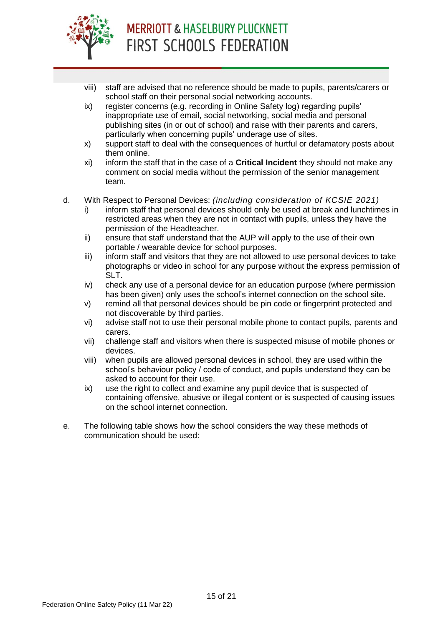

- viii) staff are advised that no reference should be made to pupils, parents/carers or school staff on their personal social networking accounts.
- ix) register concerns (e.g. recording in Online Safety log) regarding pupils' inappropriate use of email, social networking, social media and personal publishing sites (in or out of school) and raise with their parents and carers, particularly when concerning pupils' underage use of sites.
- x) support staff to deal with the consequences of hurtful or defamatory posts about them online.
- xi) inform the staff that in the case of a **Critical Incident** they should not make any comment on social media without the permission of the senior management team.
- d. With Respect to Personal Devices: *(including consideration of KCSIE 2021)*
	- i) inform staff that personal devices should only be used at break and lunchtimes in restricted areas when they are not in contact with pupils, unless they have the permission of the Headteacher.
	- ii) ensure that staff understand that the AUP will apply to the use of their own portable / wearable device for school purposes.
	- iii) inform staff and visitors that they are not allowed to use personal devices to take photographs or video in school for any purpose without the express permission of SLT.
	- iv) check any use of a personal device for an education purpose (where permission has been given) only uses the school's internet connection on the school site.
	- v) remind all that personal devices should be pin code or fingerprint protected and not discoverable by third parties.
	- vi) advise staff not to use their personal mobile phone to contact pupils, parents and carers.
	- vii) challenge staff and visitors when there is suspected misuse of mobile phones or devices.
	- viii) when pupils are allowed personal devices in school, they are used within the school's behaviour policy / code of conduct, and pupils understand they can be asked to account for their use.
	- ix) use the right to collect and examine any pupil device that is suspected of containing offensive, abusive or illegal content or is suspected of causing issues on the school internet connection.
- e. The following table shows how the school considers the way these methods of communication should be used: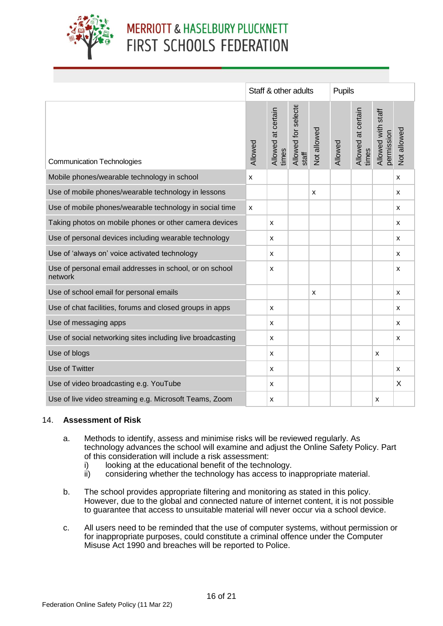

|                                                                    |         | Staff & other adults        |                              | Pupils      |         |                             |                                  |                |
|--------------------------------------------------------------------|---------|-----------------------------|------------------------------|-------------|---------|-----------------------------|----------------------------------|----------------|
| <b>Communication Technologies</b>                                  | Allowed | Allowed at certain<br>times | Allowed for selecte<br>staff | Not allowed | Allowed | Allowed at certain<br>times | Allowed with staff<br>permission | Not allowed    |
| Mobile phones/wearable technology in school                        | X       |                             |                              |             |         |                             |                                  | $\pmb{\times}$ |
| Use of mobile phones/wearable technology in lessons                |         |                             |                              | x           |         |                             |                                  | x              |
| Use of mobile phones/wearable technology in social time            | X       |                             |                              |             |         |                             |                                  | X              |
| Taking photos on mobile phones or other camera devices             |         | x                           |                              |             |         |                             |                                  | x              |
| Use of personal devices including wearable technology              |         | x                           |                              |             |         |                             |                                  | $\mathsf{x}$   |
| Use of 'always on' voice activated technology                      |         | x                           |                              |             |         |                             |                                  | $\pmb{\times}$ |
| Use of personal email addresses in school, or on school<br>network |         | x                           |                              |             |         |                             |                                  | X              |
| Use of school email for personal emails                            |         |                             |                              | x           |         |                             |                                  | X              |
| Use of chat facilities, forums and closed groups in apps           |         | x                           |                              |             |         |                             |                                  | x              |
| Use of messaging apps                                              |         | x                           |                              |             |         |                             |                                  | X              |
| Use of social networking sites including live broadcasting         |         | x                           |                              |             |         |                             |                                  | X              |
| Use of blogs                                                       |         | x                           |                              |             |         |                             | X                                |                |
| Use of Twitter                                                     |         | x                           |                              |             |         |                             |                                  | $\pmb{\times}$ |
| Use of video broadcasting e.g. YouTube                             |         | x                           |                              |             |         |                             |                                  | X              |
| Use of live video streaming e.g. Microsoft Teams, Zoom             |         | x                           |                              |             |         |                             | х                                |                |

#### 14. **Assessment of Risk**

- a. Methods to identify, assess and minimise risks will be reviewed regularly. As technology advances the school will examine and adjust the Online Safety Policy. Part of this consideration will include a risk assessment:
	- i) looking at the educational benefit of the technology.
	- ii) considering whether the technology has access to inappropriate material.
- b. The school provides appropriate filtering and monitoring as stated in this policy. However, due to the global and connected nature of internet content, it is not possible to guarantee that access to unsuitable material will never occur via a school device.
- c. All users need to be reminded that the use of computer systems, without permission or for inappropriate purposes, could constitute a criminal offence under the Computer Misuse Act 1990 and breaches will be reported to Police.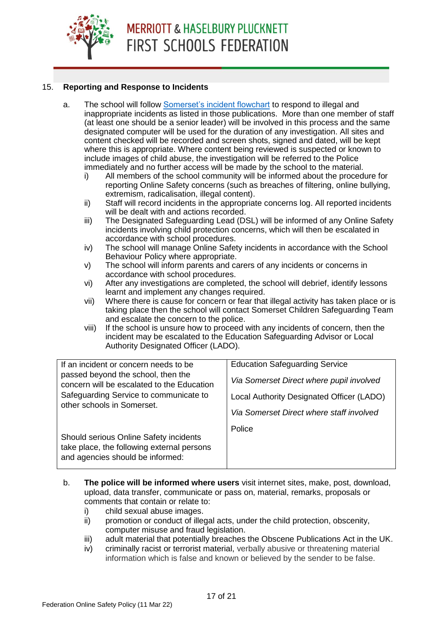#### 15. **Reporting and Response to Incidents**

a. The school will follow [Somerset's incident flowchart](https://www.somerset.org.uk/sites/edtech/eSafety/Leading/Incident%20Flowchart%202021.pdf) to respond to illegal and inappropriate incidents as listed in those publications. More than one member of staff (at least one should be a senior leader) will be involved in this process and the same designated computer will be used for the duration of any investigation. All sites and content checked will be recorded and screen shots, signed and dated, will be kept where this is appropriate. Where content being reviewed is suspected or known to include images of child abuse, the investigation will be referred to the Police immediately and no further access will be made by the school to the material.

i) All members of the school community will be informed about the procedure for

- reporting Online Safety concerns (such as breaches of filtering, online bullying, extremism, radicalisation, illegal content).
- ii) Staff will record incidents in the appropriate concerns log. All reported incidents will be dealt with and actions recorded.
- iii) The Designated Safeguarding Lead (DSL) will be informed of any Online Safety incidents involving child protection concerns, which will then be escalated in accordance with school procedures.
- iv) The school will manage Online Safety incidents in accordance with the School Behaviour Policy where appropriate.
- v) The school will inform parents and carers of any incidents or concerns in accordance with school procedures.
- vi) After any investigations are completed, the school will debrief, identify lessons learnt and implement any changes required.
- vii) Where there is cause for concern or fear that illegal activity has taken place or is taking place then the school will contact Somerset Children Safeguarding Team and escalate the concern to the police.
- viii) If the school is unsure how to proceed with any incidents of concern, then the incident may be escalated to the Education Safeguarding Advisor or Local Authority Designated Officer (LADO).

| If an incident or concern needs to be<br>passed beyond the school, then the<br>concern will be escalated to the Education<br>Safeguarding Service to communicate to<br>other schools in Somerset. | <b>Education Safeguarding Service</b><br>Via Somerset Direct where pupil involved<br>Local Authority Designated Officer (LADO)<br>Via Somerset Direct where staff involved |
|---------------------------------------------------------------------------------------------------------------------------------------------------------------------------------------------------|----------------------------------------------------------------------------------------------------------------------------------------------------------------------------|
| Should serious Online Safety incidents<br>take place, the following external persons<br>and agencies should be informed:                                                                          | Police                                                                                                                                                                     |

- b. **The police will be informed where users** visit internet sites, make, post, download, upload, data transfer, communicate or pass on, material, remarks, proposals or comments that contain or relate to:
	- i) child sexual abuse images.
	- ii) promotion or conduct of illegal acts, under the child protection, obscenity, computer misuse and fraud legislation.
	- iii) adult material that potentially breaches the Obscene Publications Act in the UK.
	- iv) criminally racist or terrorist material, verbally abusive or threatening material information which is false and known or believed by the sender to be false.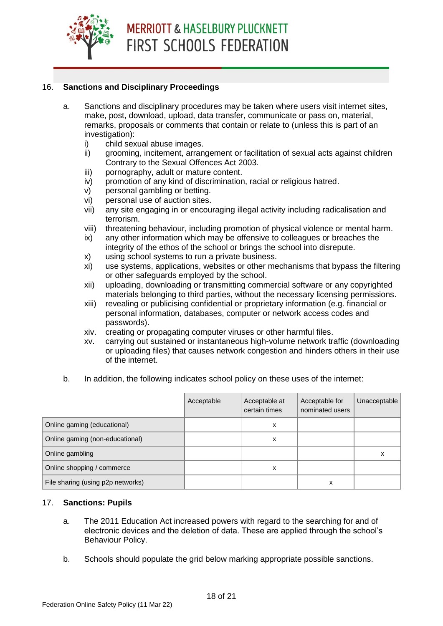#### 16. **Sanctions and Disciplinary Proceedings**

- a. Sanctions and disciplinary procedures may be taken where users visit internet sites, make, post, download, upload, data transfer, communicate or pass on, material, remarks, proposals or comments that contain or relate to (unless this is part of an investigation):
	- i) child sexual abuse images.
	- ii) grooming, incitement, arrangement or facilitation of sexual acts against children Contrary to the Sexual Offences Act 2003.
	- iii) pornography, adult or mature content.
	- iv) promotion of any kind of discrimination, racial or religious hatred.
	- v) personal gambling or betting.
	- vi) personal use of auction sites.
	- vii) any site engaging in or encouraging illegal activity including radicalisation and terrorism.
	- viii) threatening behaviour, including promotion of physical violence or mental harm.
	- ix) any other information which may be offensive to colleagues or breaches the integrity of the ethos of the school or brings the school into disrepute.
	- x) using school systems to run a private business.
	- xi) use systems, applications, websites or other mechanisms that bypass the filtering or other safeguards employed by the school.
	- xii) uploading, downloading or transmitting commercial software or any copyrighted materials belonging to third parties, without the necessary licensing permissions.
	- xiii) revealing or publicising confidential or proprietary information (e.g. financial or personal information, databases, computer or network access codes and passwords).
	- xiv. creating or propagating computer viruses or other harmful files.
	- xv. carrying out sustained or instantaneous high-volume network traffic (downloading or uploading files) that causes network congestion and hinders others in their use of the internet.
- b. In addition, the following indicates school policy on these uses of the internet:

|                                   | Acceptable | Acceptable at<br>certain times | Acceptable for<br>nominated users | Unacceptable |
|-----------------------------------|------------|--------------------------------|-----------------------------------|--------------|
| Online gaming (educational)       |            | x                              |                                   |              |
| Online gaming (non-educational)   |            | x                              |                                   |              |
| Online gambling                   |            |                                |                                   | х            |
| Online shopping / commerce        |            | x                              |                                   |              |
| File sharing (using p2p networks) |            |                                | x                                 |              |

#### 17. **Sanctions: Pupils**

- a. The 2011 Education Act increased powers with regard to the searching for and of electronic devices and the deletion of data. These are applied through the school's Behaviour Policy.
- b. Schools should populate the grid below marking appropriate possible sanctions.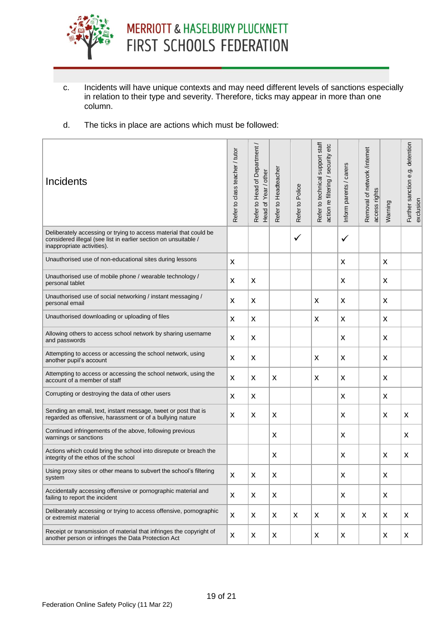

- c. Incidents will have unique contexts and may need different levels of sanctions especially in relation to their type and severity. Therefore, ticks may appear in more than one column.
- d. The ticks in place are actions which must be followed:

| Incidents                                                                                                                                                          | Refer to class teacher / tutor | Refer to Head of Department.<br>Head of Year / other | Refer to Headteacher | Refer to Police           | Refer to technical support staff<br>action re filtering / security etc | Inform parents / carers | Removal of network /internet<br>access rights | Warning | Further sanction e.g. detention<br>exclusion |
|--------------------------------------------------------------------------------------------------------------------------------------------------------------------|--------------------------------|------------------------------------------------------|----------------------|---------------------------|------------------------------------------------------------------------|-------------------------|-----------------------------------------------|---------|----------------------------------------------|
| Deliberately accessing or trying to access material that could be<br>considered illegal (see list in earlier section on unsuitable /<br>inappropriate activities). |                                |                                                      |                      | $\checkmark$              |                                                                        | $\checkmark$            |                                               |         |                                              |
| Unauthorised use of non-educational sites during lessons                                                                                                           | X                              |                                                      |                      |                           |                                                                        | X                       |                                               | X       |                                              |
| Unauthorised use of mobile phone / wearable technology /<br>personal tablet                                                                                        | X                              | X                                                    |                      |                           |                                                                        | X                       |                                               | X       |                                              |
| Unauthorised use of social networking / instant messaging /<br>personal email                                                                                      | X                              | X                                                    |                      |                           | X                                                                      | X                       |                                               | X       |                                              |
| Unauthorised downloading or uploading of files                                                                                                                     | X                              | X                                                    |                      |                           | X                                                                      | X                       |                                               | X       |                                              |
| Allowing others to access school network by sharing username<br>and passwords                                                                                      | X                              | X                                                    |                      |                           |                                                                        | X                       |                                               | X       |                                              |
| Attempting to access or accessing the school network, using<br>another pupil's account                                                                             | X                              | X                                                    |                      |                           | X                                                                      | X                       |                                               | X       |                                              |
| Attempting to access or accessing the school network, using the<br>account of a member of staff                                                                    | X                              | X                                                    | X                    |                           | X                                                                      | X                       |                                               | X       |                                              |
| Corrupting or destroying the data of other users                                                                                                                   | X                              | X                                                    |                      |                           |                                                                        | X                       |                                               | X       |                                              |
| Sending an email, text, instant message, tweet or post that is<br>regarded as offensive, harassment or of a bullying nature                                        | X                              | X                                                    | X                    |                           |                                                                        | X                       |                                               | X       | X                                            |
| Continued infringements of the above, following previous<br>warnings or sanctions                                                                                  |                                |                                                      | X                    |                           |                                                                        | X                       |                                               |         | X                                            |
| Actions which could bring the school into disrepute or breach the<br>integrity of the ethos of the school                                                          |                                |                                                      | X                    |                           |                                                                        | x                       |                                               | X       | X                                            |
| Using proxy sites or other means to subvert the school's filtering<br>system                                                                                       | X                              | X                                                    | X                    |                           |                                                                        | X                       |                                               | X       |                                              |
| Accidentally accessing offensive or pornographic material and<br>failing to report the incident                                                                    | X                              | X                                                    | X                    |                           |                                                                        | X                       |                                               | X       |                                              |
| Deliberately accessing or trying to access offensive, pornographic<br>or extremist material                                                                        | $\pmb{\times}$                 | X                                                    | $\pmb{\mathsf{X}}$   | $\boldsymbol{\mathsf{X}}$ | X                                                                      | X                       | X                                             | X       | X                                            |
| Receipt or transmission of material that infringes the copyright of<br>another person or infringes the Data Protection Act                                         | X                              | X                                                    | X                    |                           | X                                                                      | X                       |                                               | X       | X                                            |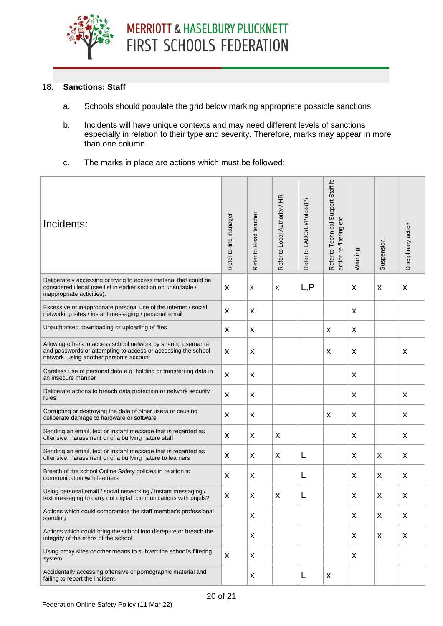

#### 18. **Sanctions: Staff**

- a. Schools should populate the grid below marking appropriate possible sanctions.
- b. Incidents will have unique contexts and may need different levels of sanctions especially in relation to their type and severity. Therefore, marks may appear in more than one column.
- c. The marks in place are actions which must be followed:

| Incidents:                                                                                                                                                               | Refer to line manager | Refer to Head teacher | Refer to Local Authority / HR | Refer to LADO(L)/Police(P) | Refer to Technical Support Staff fc<br>action re filtering etc | Warning            | Suspension   | Disciplinary action |
|--------------------------------------------------------------------------------------------------------------------------------------------------------------------------|-----------------------|-----------------------|-------------------------------|----------------------------|----------------------------------------------------------------|--------------------|--------------|---------------------|
| Deliberately accessing or trying to access material that could be<br>considered illegal (see list in earlier section on unsuitable /<br>inappropriate activities).       | X                     | X                     | $\pmb{\chi}$                  | L, P                       |                                                                | $\pmb{\mathsf{X}}$ | X            | X                   |
| Excessive or inappropriate personal use of the internet / social<br>networking sites / instant messaging / personal email                                                | X                     | X                     |                               |                            |                                                                | X                  |              |                     |
| Unauthorised downloading or uploading of files                                                                                                                           | X                     | X                     |                               |                            | X                                                              | X                  |              |                     |
| Allowing others to access school network by sharing username<br>and passwords or attempting to access or accessing the school<br>network, using another person's account | X                     | X                     |                               |                            | $\pmb{\mathsf{X}}$                                             | $\pmb{\mathsf{X}}$ |              | X                   |
| Careless use of personal data e.g. holding or transferring data in<br>an insecure manner                                                                                 | X                     | $\pmb{\times}$        |                               |                            |                                                                | $\pmb{\mathsf{X}}$ |              |                     |
| Deliberate actions to breach data protection or network security<br>rules                                                                                                | X                     | $\pmb{\times}$        |                               |                            |                                                                | $\pmb{\mathsf{X}}$ |              | X                   |
| Corrupting or destroying the data of other users or causing<br>deliberate damage to hardware or software                                                                 | $\pmb{\mathsf{X}}$    | $\pmb{\times}$        |                               |                            | $\pmb{\mathsf{X}}$                                             | $\pmb{\mathsf{X}}$ |              | X                   |
| Sending an email, text or instant message that is regarded as<br>offensive, harassment or of a bullying nature staff                                                     | $\pmb{\mathsf{X}}$    | $\pmb{\times}$        | $\pmb{\mathsf{X}}$            |                            |                                                                | $\pmb{\mathsf{X}}$ |              | X                   |
| Sending an email, text or instant message that is regarded as<br>offensive, harassment or of a bullying nature to learners                                               | X                     | $\pmb{\times}$        | $\boldsymbol{\mathsf{X}}$     | L                          |                                                                | X                  | X            | $\pmb{\mathsf{X}}$  |
| Breech of the school Online Safety policies in relation to<br>communication with learners                                                                                | $\pmb{\mathsf{X}}$    | $\pmb{\times}$        |                               | L                          |                                                                | X                  | X            | X                   |
| Using personal email / social networking / instant messaging /<br>text messaging to carry out digital communications with pupils?                                        | X                     | X                     | $\pmb{\mathsf{X}}$            | L                          |                                                                | X                  | X            | X                   |
| Actions which could compromise the staff member's professional<br>standing                                                                                               |                       | $\pmb{\times}$        |                               |                            |                                                                | $\pmb{\mathsf{X}}$ | $\mathsf{x}$ | $\pmb{\times}$      |
| Actions which could bring the school into disrepute or breach the<br>integrity of the ethos of the school                                                                |                       | $\pmb{\mathsf{X}}$    |                               |                            |                                                                | X                  | X            | $\pmb{\mathsf{X}}$  |
| Using proxy sites or other means to subvert the school's filtering<br>system                                                                                             | $\pmb{\times}$        | $\pmb{\times}$        |                               |                            |                                                                | $\pmb{\mathsf{X}}$ |              |                     |
| Accidentally accessing offensive or pornographic material and<br>failing to report the incident                                                                          |                       | X                     |                               | L                          | $\pmb{\mathsf{X}}$                                             |                    |              |                     |